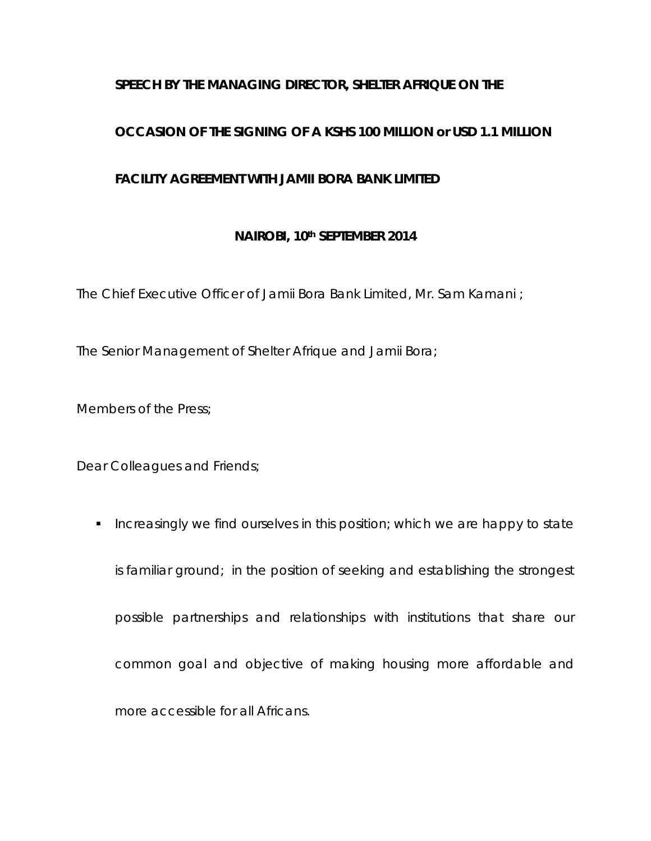## **SPEECH BY THE MANAGING DIRECTOR, SHELTER AFRIQUE ON THE**

### **OCCASION OF THE SIGNING OF A KSHS 100 MILLION or USD 1.1 MILLION**

#### **FACILITY AGREEMENT WITH JAMII BORA BANK LIMITED**

#### **NAIROBI, 10th SEPTEMBER 2014**

The Chief Executive Officer of Jamii Bora Bank Limited, Mr. Sam Kamani ;

The Senior Management of Shelter Afrique and Jamii Bora;

Members of the Press;

Dear Colleagues and Friends;

**Increasingly we find ourselves in this position; which we are happy to state** is familiar ground; in the position of seeking and establishing the strongest possible partnerships and relationships with institutions that share our common goal and objective of making housing more affordable and more accessible for all Africans.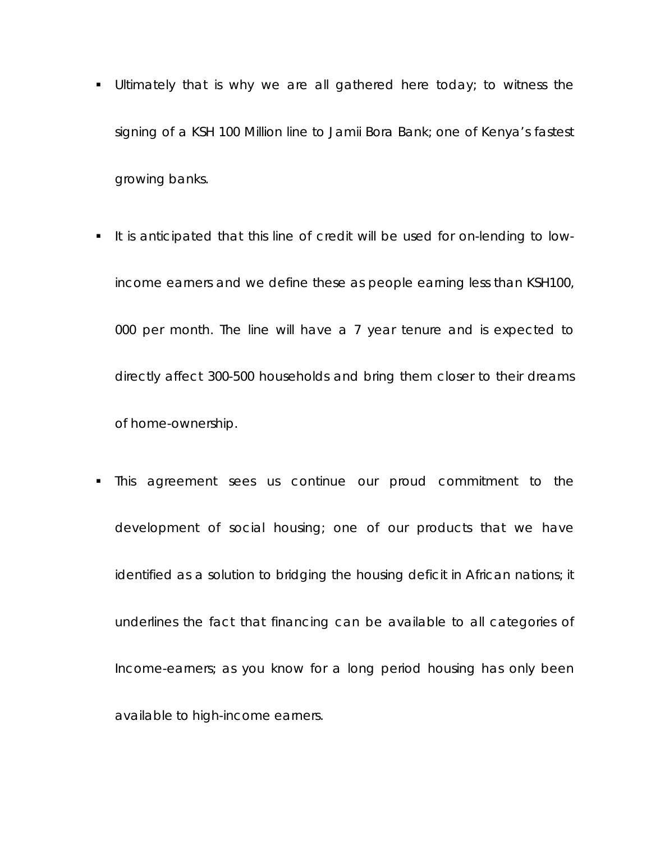- **Ultimately that is why we are all gathered here today; to witness the** signing of a KSH 100 Million line to Jamii Bora Bank; one of Kenya's fastest growing banks.
- It is anticipated that this line of credit will be used for on-lending to lowincome earners and we define these as people earning less than KSH100, 000 per month. The line will have a 7 year tenure and is expected to directly affect 300-500 households and bring them closer to their dreams of home-ownership.
- This agreement sees us continue our proud commitment to the development of social housing; one of our products that we have identified as a solution to bridging the housing deficit in African nations; it underlines the fact that financing can be available to all categories of Income-earners; as you know for a long period housing has only been available to high-income earners.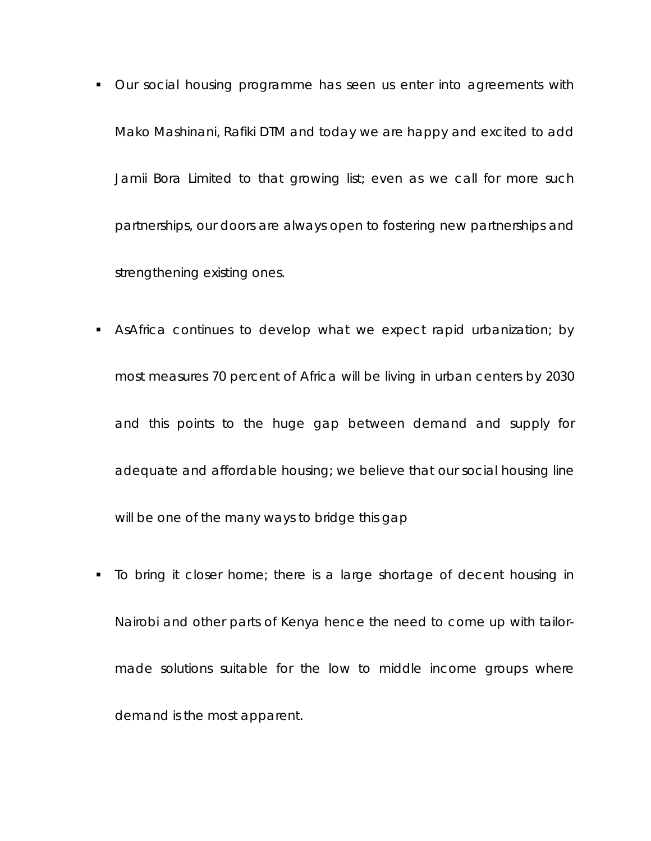- Our social housing programme has seen us enter into agreements with Mako Mashinani, Rafiki DTM and today we are happy and excited to add Jamii Bora Limited to that growing list; even as we call for more such partnerships, our doors are always open to fostering new partnerships and strengthening existing ones.
- AsAfrica continues to develop what we expect rapid urbanization; by most measures 70 percent of Africa will be living in urban centers by 2030 and this points to the huge gap between demand and supply for adequate and affordable housing; we believe that our social housing line will be one of the many ways to bridge this gap
- To bring it closer home; there is a large shortage of decent housing in Nairobi and other parts of Kenya hence the need to come up with tailormade solutions suitable for the low to middle income groups where demand is the most apparent.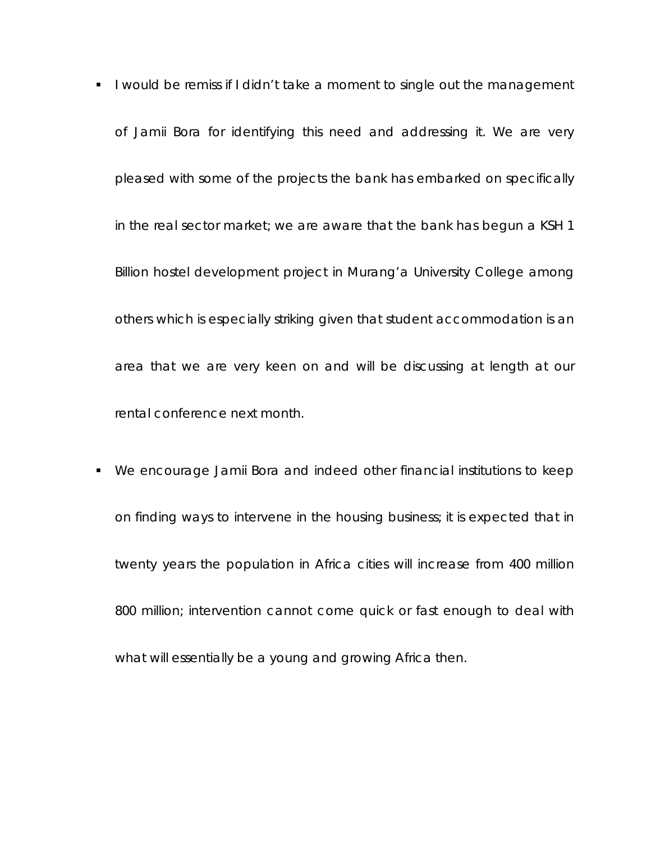- I would be remiss if I didn't take a moment to single out the management of Jamii Bora for identifying this need and addressing it. We are very pleased with some of the projects the bank has embarked on specifically in the real sector market; we are aware that the bank has begun a KSH 1 Billion hostel development project in Murang'a University College among others which is especially striking given that student accommodation is an area that we are very keen on and will be discussing at length at our rental conference next month.
- We encourage Jamii Bora and indeed other financial institutions to keep on finding ways to intervene in the housing business; it is expected that in twenty years the population in Africa cities will increase from 400 million 800 million; intervention cannot come quick or fast enough to deal with what will essentially be a young and growing Africa then.